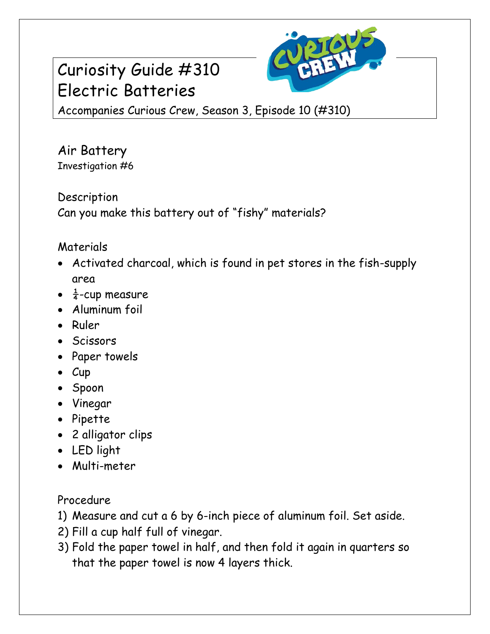## Curiosity Guide #310 Electric Batteries



Accompanies Curious Crew, Season 3, Episode 10 (#310)

Air Battery Investigation #6

Description Can you make this battery out of "fishy" materials?

## Materials

- Activated charcoal, which is found in pet stores in the fish-supply area
- $\frac{1}{4}$ -cup measure
- Aluminum foil
- Ruler
- Scissors
- Paper towels
- $\bullet$  Cup
- Spoon
- Vinegar
- Pipette
- 2 alligator clips
- LED light
- Multi-meter

Procedure

1) Measure and cut a 6 by 6-inch piece of aluminum foil. Set aside.

- 2) Fill a cup half full of vinegar.
- 3) Fold the paper towel in half, and then fold it again in quarters so that the paper towel is now 4 layers thick.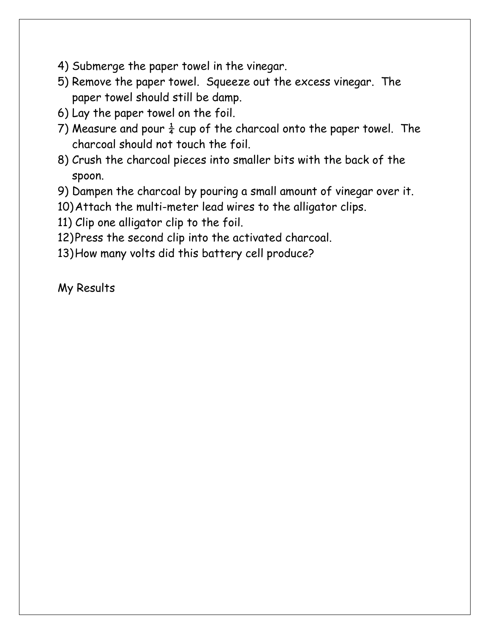- 4) Submerge the paper towel in the vinegar.
- 5) Remove the paper towel. Squeeze out the excess vinegar. The paper towel should still be damp.
- 6) Lay the paper towel on the foil.
- 7) Measure and pour  $\frac{1}{4}$  cup of the charcoal onto the paper towel. The charcoal should not touch the foil.
- 8) Crush the charcoal pieces into smaller bits with the back of the spoon.
- 9) Dampen the charcoal by pouring a small amount of vinegar over it.
- 10)Attach the multi-meter lead wires to the alligator clips.
- 11) Clip one alligator clip to the foil.
- 12)Press the second clip into the activated charcoal.
- 13)How many volts did this battery cell produce?

My Results